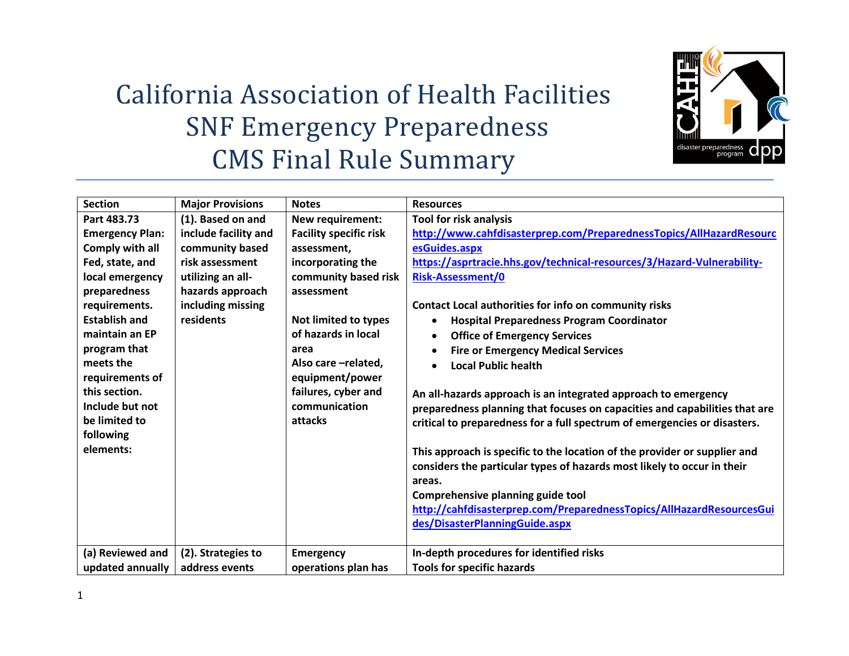

## California Association of Health Facilities SNF Emergency Preparedness CMS Final Rule Summary

| <b>Section</b>         | <b>Major Provisions</b> | <b>Notes</b>                  | <b>Resources</b>                                                           |
|------------------------|-------------------------|-------------------------------|----------------------------------------------------------------------------|
| Part 483.73            | (1). Based on and       | New requirement:              | <b>Tool for risk analysis</b>                                              |
| <b>Emergency Plan:</b> | include facility and    | <b>Facility specific risk</b> | http://www.cahfdisasterprep.com/PreparednessTopics/AllHazardResourc        |
| Comply with all        | community based         | assessment,                   | esGuides.aspx                                                              |
| Fed, state, and        | risk assessment         | incorporating the             | https://asprtracie.hhs.gov/technical-resources/3/Hazard-Vulnerability-     |
| local emergency        | utilizing an all-       | community based risk          | <b>Risk-Assessment/0</b>                                                   |
| preparedness           | hazards approach        | assessment                    |                                                                            |
| requirements.          | including missing       |                               | Contact Local authorities for info on community risks                      |
| <b>Establish and</b>   | residents               | <b>Not limited to types</b>   | <b>Hospital Preparedness Program Coordinator</b><br>$\bullet$              |
| maintain an EP         |                         | of hazards in local           | <b>Office of Emergency Services</b><br>$\bullet$                           |
| program that           |                         | area                          | <b>Fire or Emergency Medical Services</b>                                  |
| meets the              |                         | Also care -related,           | <b>Local Public health</b>                                                 |
| requirements of        |                         | equipment/power               |                                                                            |
| this section.          |                         | failures, cyber and           | An all-hazards approach is an integrated approach to emergency             |
| Include but not        |                         | communication                 | preparedness planning that focuses on capacities and capabilities that are |
| be limited to          |                         | attacks                       | critical to preparedness for a full spectrum of emergencies or disasters.  |
| following              |                         |                               |                                                                            |
| elements:              |                         |                               | This approach is specific to the location of the provider or supplier and  |
|                        |                         |                               | considers the particular types of hazards most likely to occur in their    |
|                        |                         |                               | areas.                                                                     |
|                        |                         |                               | Comprehensive planning guide tool                                          |
|                        |                         |                               | http://cahfdisasterprep.com/PreparednessTopics/AllHazardResourcesGui       |
|                        |                         |                               | des/DisasterPlanningGuide.aspx                                             |
|                        |                         |                               |                                                                            |
| (a) Reviewed and       | (2). Strategies to      | <b>Emergency</b>              | In-depth procedures for identified risks                                   |
| updated annually       | address events          | operations plan has           | <b>Tools for specific hazards</b>                                          |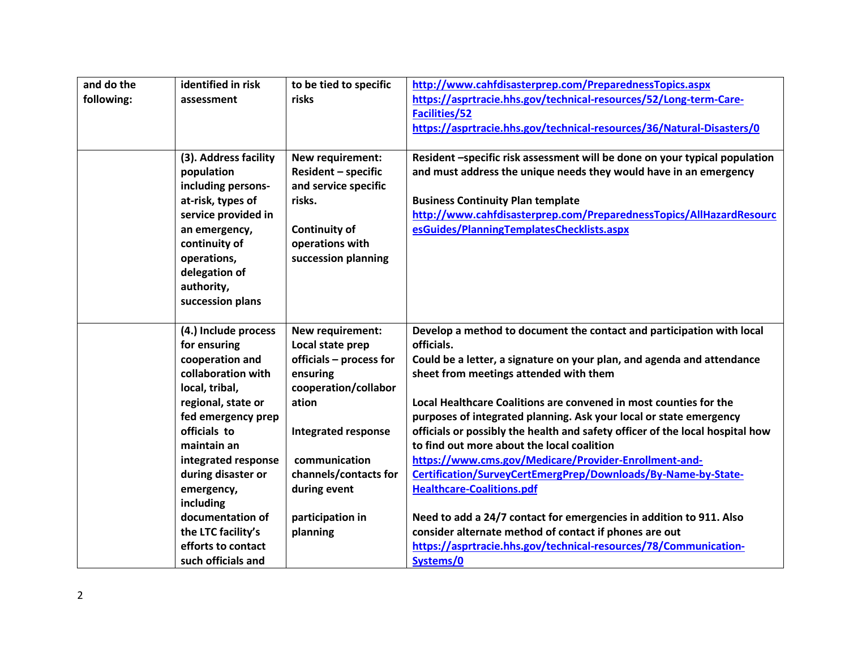| and do the | identified in risk              | to be tied to specific                      | http://www.cahfdisasterprep.com/PreparednessTopics.aspx                                                          |
|------------|---------------------------------|---------------------------------------------|------------------------------------------------------------------------------------------------------------------|
| following: | assessment                      | risks                                       | https://asprtracie.hhs.gov/technical-resources/52/Long-term-Care-                                                |
|            |                                 |                                             | <b>Facilities/52</b>                                                                                             |
|            |                                 |                                             | https://asprtracie.hhs.gov/technical-resources/36/Natural-Disasters/0                                            |
|            |                                 |                                             |                                                                                                                  |
|            | (3). Address facility           | New requirement:                            | Resident -specific risk assessment will be done on your typical population                                       |
|            | population                      | <b>Resident - specific</b>                  | and must address the unique needs they would have in an emergency                                                |
|            | including persons-              | and service specific                        |                                                                                                                  |
|            | at-risk, types of               | risks.                                      | <b>Business Continuity Plan template</b>                                                                         |
|            | service provided in             |                                             | http://www.cahfdisasterprep.com/PreparednessTopics/AllHazardResourc                                              |
|            | an emergency,                   | <b>Continuity of</b>                        | esGuides/PlanningTemplatesChecklists.aspx                                                                        |
|            | continuity of                   | operations with                             |                                                                                                                  |
|            | operations,                     | succession planning                         |                                                                                                                  |
|            | delegation of                   |                                             |                                                                                                                  |
|            | authority,                      |                                             |                                                                                                                  |
|            | succession plans                |                                             |                                                                                                                  |
|            |                                 |                                             |                                                                                                                  |
|            | (4.) Include process            | New requirement:                            | Develop a method to document the contact and participation with local<br>officials.                              |
|            | for ensuring<br>cooperation and | Local state prep<br>officials - process for |                                                                                                                  |
|            | collaboration with              | ensuring                                    | Could be a letter, a signature on your plan, and agenda and attendance<br>sheet from meetings attended with them |
|            | local, tribal,                  | cooperation/collabor                        |                                                                                                                  |
|            | regional, state or              | ation                                       | Local Healthcare Coalitions are convened in most counties for the                                                |
|            | fed emergency prep              |                                             | purposes of integrated planning. Ask your local or state emergency                                               |
|            | officials to                    | <b>Integrated response</b>                  | officials or possibly the health and safety officer of the local hospital how                                    |
|            | maintain an                     |                                             | to find out more about the local coalition                                                                       |
|            | integrated response             | communication                               | https://www.cms.gov/Medicare/Provider-Enrollment-and-                                                            |
|            | during disaster or              | channels/contacts for                       | Certification/SurveyCertEmergPrep/Downloads/By-Name-by-State-                                                    |
|            | emergency,                      | during event                                | <b>Healthcare-Coalitions.pdf</b>                                                                                 |
|            | including                       |                                             |                                                                                                                  |
|            | documentation of                | participation in                            | Need to add a 24/7 contact for emergencies in addition to 911. Also                                              |
|            | the LTC facility's              | planning                                    | consider alternate method of contact if phones are out                                                           |
|            | efforts to contact              |                                             | https://asprtracie.hhs.gov/technical-resources/78/Communication-                                                 |
|            | such officials and              |                                             | Systems/0                                                                                                        |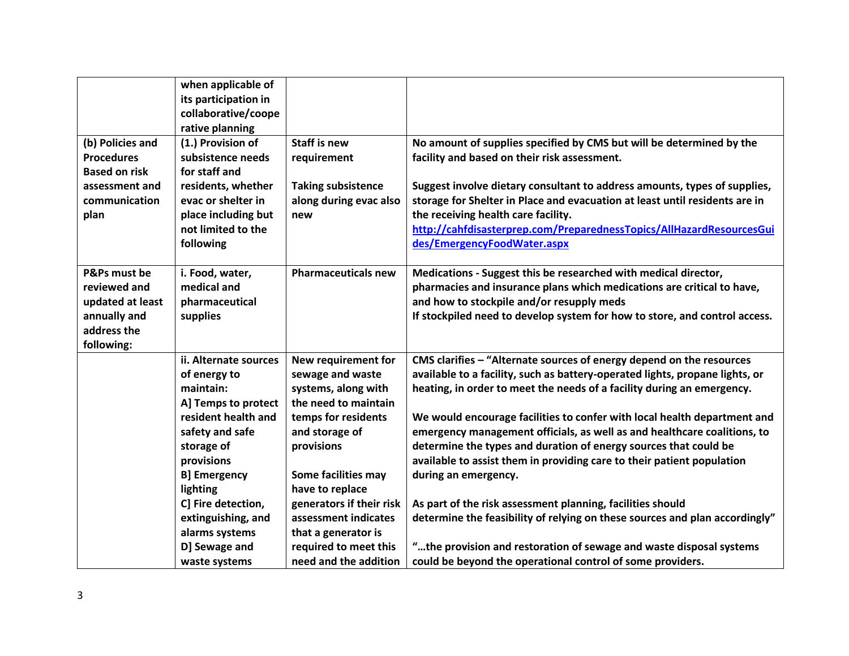| (b) Policies and<br><b>Procedures</b>                                                         | when applicable of<br>its participation in<br>collaborative/coope<br>rative planning<br>(1.) Provision of<br>subsistence needs | <b>Staff is new</b><br>requirement                                                               | No amount of supplies specified by CMS but will be determined by the<br>facility and based on their risk assessment.                                                                                                                                                                                                       |
|-----------------------------------------------------------------------------------------------|--------------------------------------------------------------------------------------------------------------------------------|--------------------------------------------------------------------------------------------------|----------------------------------------------------------------------------------------------------------------------------------------------------------------------------------------------------------------------------------------------------------------------------------------------------------------------------|
| <b>Based on risk</b><br>assessment and<br>communication<br>plan                               | for staff and<br>residents, whether<br>evac or shelter in<br>place including but<br>not limited to the<br>following            | <b>Taking subsistence</b><br>along during evac also<br>new                                       | Suggest involve dietary consultant to address amounts, types of supplies,<br>storage for Shelter in Place and evacuation at least until residents are in<br>the receiving health care facility.<br>http://cahfdisasterprep.com/PreparednessTopics/AllHazardResourcesGui<br>des/EmergencyFoodWater.aspx                     |
| P&Ps must be<br>reviewed and<br>updated at least<br>annually and<br>address the<br>following: | i. Food, water,<br>medical and<br>pharmaceutical<br>supplies                                                                   | <b>Pharmaceuticals new</b>                                                                       | Medications - Suggest this be researched with medical director,<br>pharmacies and insurance plans which medications are critical to have,<br>and how to stockpile and/or resupply meds<br>If stockpiled need to develop system for how to store, and control access.                                                       |
|                                                                                               | ii. Alternate sources<br>of energy to<br>maintain:<br>A] Temps to protect                                                      | New requirement for<br>sewage and waste<br>systems, along with<br>the need to maintain           | CMS clarifies - "Alternate sources of energy depend on the resources<br>available to a facility, such as battery-operated lights, propane lights, or<br>heating, in order to meet the needs of a facility during an emergency.                                                                                             |
|                                                                                               | resident health and<br>safety and safe<br>storage of<br>provisions<br><b>B] Emergency</b><br>lighting                          | temps for residents<br>and storage of<br>provisions<br>Some facilities may<br>have to replace    | We would encourage facilities to confer with local health department and<br>emergency management officials, as well as and healthcare coalitions, to<br>determine the types and duration of energy sources that could be<br>available to assist them in providing care to their patient population<br>during an emergency. |
|                                                                                               | C] Fire detection,<br>extinguishing, and<br>alarms systems<br>D] Sewage and                                                    | generators if their risk<br>assessment indicates<br>that a generator is<br>required to meet this | As part of the risk assessment planning, facilities should<br>determine the feasibility of relying on these sources and plan accordingly"<br>"the provision and restoration of sewage and waste disposal systems                                                                                                           |
|                                                                                               | waste systems                                                                                                                  | need and the addition                                                                            | could be beyond the operational control of some providers.                                                                                                                                                                                                                                                                 |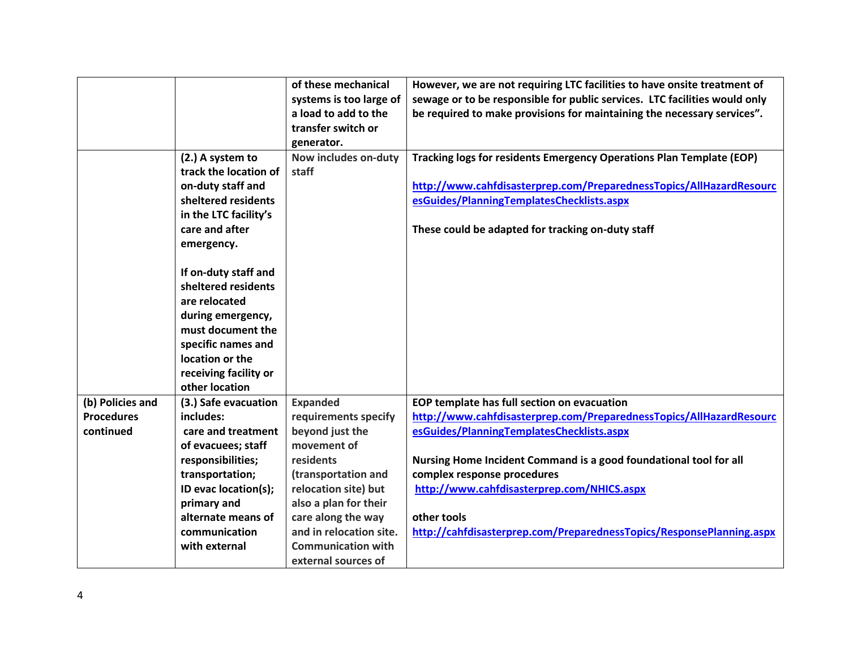|                   |                       | of these mechanical       | However, we are not requiring LTC facilities to have onsite treatment of   |
|-------------------|-----------------------|---------------------------|----------------------------------------------------------------------------|
|                   |                       | systems is too large of   | sewage or to be responsible for public services. LTC facilities would only |
|                   |                       | a load to add to the      | be required to make provisions for maintaining the necessary services".    |
|                   |                       | transfer switch or        |                                                                            |
|                   |                       | generator.                |                                                                            |
|                   | (2.) A system to      | Now includes on-duty      | Tracking logs for residents Emergency Operations Plan Template (EOP)       |
|                   | track the location of | staff                     |                                                                            |
|                   | on-duty staff and     |                           | http://www.cahfdisasterprep.com/PreparednessTopics/AllHazardResourc        |
|                   | sheltered residents   |                           | esGuides/PlanningTemplatesChecklists.aspx                                  |
|                   | in the LTC facility's |                           |                                                                            |
|                   | care and after        |                           | These could be adapted for tracking on-duty staff                          |
|                   | emergency.            |                           |                                                                            |
|                   |                       |                           |                                                                            |
|                   | If on-duty staff and  |                           |                                                                            |
|                   | sheltered residents   |                           |                                                                            |
|                   | are relocated         |                           |                                                                            |
|                   | during emergency,     |                           |                                                                            |
|                   | must document the     |                           |                                                                            |
|                   | specific names and    |                           |                                                                            |
|                   | location or the       |                           |                                                                            |
|                   | receiving facility or |                           |                                                                            |
|                   | other location        |                           |                                                                            |
| (b) Policies and  | (3.) Safe evacuation  | <b>Expanded</b>           | EOP template has full section on evacuation                                |
| <b>Procedures</b> | includes:             | requirements specify      | http://www.cahfdisasterprep.com/PreparednessTopics/AllHazardResourc        |
| continued         | care and treatment    | beyond just the           | esGuides/PlanningTemplatesChecklists.aspx                                  |
|                   | of evacuees; staff    | movement of               |                                                                            |
|                   | responsibilities;     | residents                 | Nursing Home Incident Command is a good foundational tool for all          |
|                   | transportation;       | (transportation and       | complex response procedures                                                |
|                   | ID evac location(s);  | relocation site) but      | http://www.cahfdisasterprep.com/NHICS.aspx                                 |
|                   | primary and           | also a plan for their     |                                                                            |
|                   | alternate means of    | care along the way        | other tools                                                                |
|                   | communication         | and in relocation site.   | http://cahfdisasterprep.com/PreparednessTopics/ResponsePlanning.aspx       |
|                   | with external         | <b>Communication with</b> |                                                                            |
|                   |                       | external sources of       |                                                                            |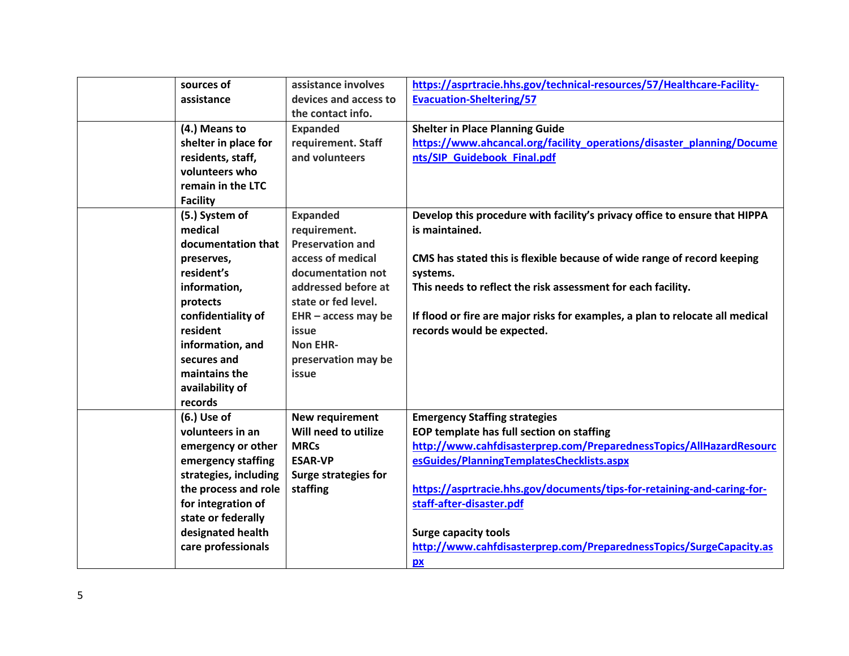| sources of            | assistance involves         | https://asprtracie.hhs.gov/technical-resources/57/Healthcare-Facility-        |
|-----------------------|-----------------------------|-------------------------------------------------------------------------------|
| assistance            | devices and access to       | <b>Evacuation-Sheltering/57</b>                                               |
|                       | the contact info.           |                                                                               |
| (4.) Means to         | <b>Expanded</b>             | <b>Shelter in Place Planning Guide</b>                                        |
| shelter in place for  | requirement. Staff          | https://www.ahcancal.org/facility_operations/disaster_planning/Docume         |
| residents, staff,     | and volunteers              | nts/SIP Guidebook Final.pdf                                                   |
| volunteers who        |                             |                                                                               |
| remain in the LTC     |                             |                                                                               |
| <b>Facility</b>       |                             |                                                                               |
| (5.) System of        | <b>Expanded</b>             | Develop this procedure with facility's privacy office to ensure that HIPPA    |
| medical               | requirement.                | is maintained.                                                                |
| documentation that    | <b>Preservation and</b>     |                                                                               |
| preserves,            | access of medical           | CMS has stated this is flexible because of wide range of record keeping       |
| resident's            | documentation not           | systems.                                                                      |
| information,          | addressed before at         | This needs to reflect the risk assessment for each facility.                  |
| protects              | state or fed level.         |                                                                               |
| confidentiality of    | $EHR - access$ may be       | If flood or fire are major risks for examples, a plan to relocate all medical |
| resident              | issue                       | records would be expected.                                                    |
| information, and      | <b>Non EHR-</b>             |                                                                               |
| secures and           | preservation may be         |                                                                               |
| maintains the         | issue                       |                                                                               |
| availability of       |                             |                                                                               |
| records               |                             |                                                                               |
| $(6.)$ Use of         | New requirement             | <b>Emergency Staffing strategies</b>                                          |
| volunteers in an      | Will need to utilize        | EOP template has full section on staffing                                     |
| emergency or other    | <b>MRCs</b>                 | http://www.cahfdisasterprep.com/PreparednessTopics/AllHazardResourc           |
| emergency staffing    | <b>ESAR-VP</b>              | esGuides/PlanningTemplatesChecklists.aspx                                     |
| strategies, including | <b>Surge strategies for</b> |                                                                               |
| the process and role  | staffing                    | https://asprtracie.hhs.gov/documents/tips-for-retaining-and-caring-for-       |
| for integration of    |                             | staff-after-disaster.pdf                                                      |
| state or federally    |                             |                                                                               |
| designated health     |                             | <b>Surge capacity tools</b>                                                   |
| care professionals    |                             | http://www.cahfdisasterprep.com/PreparednessTopics/SurgeCapacity.as           |
|                       |                             | px                                                                            |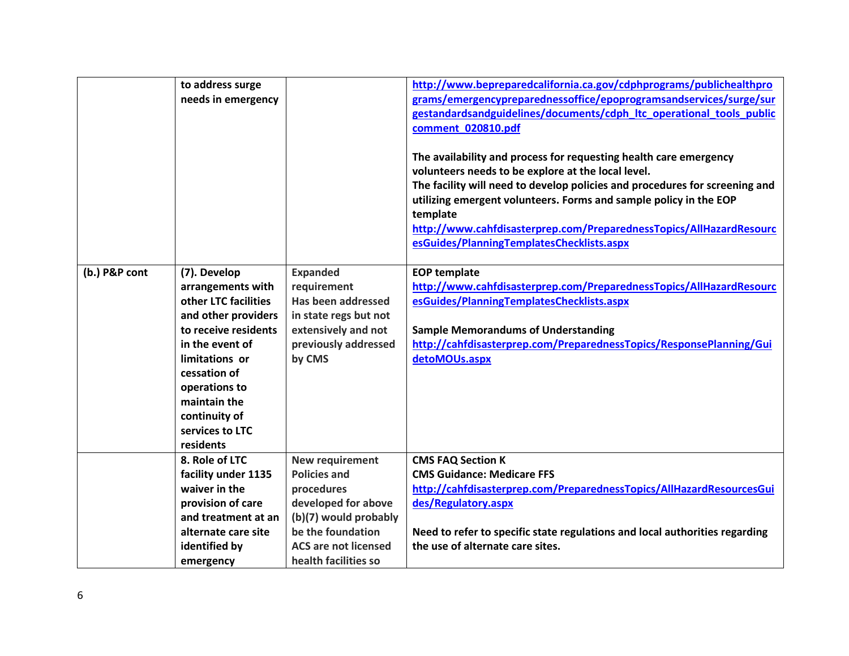|               | to address surge<br>needs in emergency                                                                                                                                                                                                          |                                                                                                                                                                                         | http://www.bepreparedcalifornia.ca.gov/cdphprograms/publichealthpro<br>grams/emergencypreparednessoffice/epoprogramsandservices/surge/sur<br>gestandardsandguidelines/documents/cdph ltc operational tools public<br>comment 020810.pdf<br>The availability and process for requesting health care emergency<br>volunteers needs to be explore at the local level.<br>The facility will need to develop policies and procedures for screening and<br>utilizing emergent volunteers. Forms and sample policy in the EOP<br>template<br>http://www.cahfdisasterprep.com/PreparednessTopics/AllHazardResourc<br>esGuides/PlanningTemplatesChecklists.aspx |
|---------------|-------------------------------------------------------------------------------------------------------------------------------------------------------------------------------------------------------------------------------------------------|-----------------------------------------------------------------------------------------------------------------------------------------------------------------------------------------|--------------------------------------------------------------------------------------------------------------------------------------------------------------------------------------------------------------------------------------------------------------------------------------------------------------------------------------------------------------------------------------------------------------------------------------------------------------------------------------------------------------------------------------------------------------------------------------------------------------------------------------------------------|
| (b.) P&P cont | (7). Develop<br>arrangements with<br>other LTC facilities<br>and other providers<br>to receive residents<br>in the event of<br>limitations or<br>cessation of<br>operations to<br>maintain the<br>continuity of<br>services to LTC<br>residents | <b>Expanded</b><br>requirement<br>Has been addressed<br>in state regs but not<br>extensively and not<br>previously addressed<br>by CMS                                                  | <b>EOP template</b><br>http://www.cahfdisasterprep.com/PreparednessTopics/AllHazardResourc<br>esGuides/PlanningTemplatesChecklists.aspx<br><b>Sample Memorandums of Understanding</b><br>http://cahfdisasterprep.com/PreparednessTopics/ResponsePlanning/Gui<br>detoMOUs.aspx                                                                                                                                                                                                                                                                                                                                                                          |
|               | 8. Role of LTC<br>facility under 1135<br>waiver in the<br>provision of care<br>and treatment at an<br>alternate care site<br>identified by<br>emergency                                                                                         | <b>New requirement</b><br><b>Policies and</b><br>procedures<br>developed for above<br>(b)(7) would probably<br>be the foundation<br><b>ACS are not licensed</b><br>health facilities so | <b>CMS FAQ Section K</b><br><b>CMS Guidance: Medicare FFS</b><br>http://cahfdisasterprep.com/PreparednessTopics/AllHazardResourcesGui<br>des/Regulatory.aspx<br>Need to refer to specific state regulations and local authorities regarding<br>the use of alternate care sites.                                                                                                                                                                                                                                                                                                                                                                        |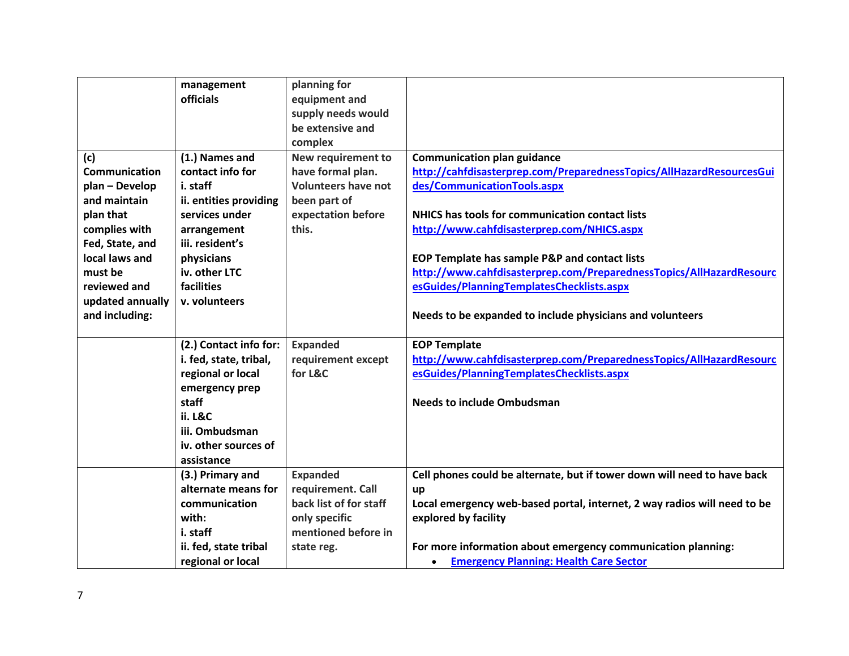|                  | management             | planning for               |                                                                          |
|------------------|------------------------|----------------------------|--------------------------------------------------------------------------|
|                  | officials              | equipment and              |                                                                          |
|                  |                        | supply needs would         |                                                                          |
|                  |                        | be extensive and           |                                                                          |
|                  |                        | complex                    |                                                                          |
| (c)              | (1.) Names and         | <b>New requirement to</b>  | <b>Communication plan guidance</b>                                       |
| Communication    | contact info for       | have formal plan.          | http://cahfdisasterprep.com/PreparednessTopics/AllHazardResourcesGui     |
| plan - Develop   | i. staff               | <b>Volunteers have not</b> | des/CommunicationTools.aspx                                              |
| and maintain     | ii. entities providing | been part of               |                                                                          |
| plan that        | services under         | expectation before         | <b>NHICS has tools for communication contact lists</b>                   |
| complies with    | arrangement            | this.                      | http://www.cahfdisasterprep.com/NHICS.aspx                               |
| Fed, State, and  | iii. resident's        |                            |                                                                          |
| local laws and   | physicians             |                            | EOP Template has sample P&P and contact lists                            |
| must be          | iv. other LTC          |                            | http://www.cahfdisasterprep.com/PreparednessTopics/AllHazardResourc      |
| reviewed and     | facilities             |                            | esGuides/PlanningTemplatesChecklists.aspx                                |
| updated annually | v. volunteers          |                            |                                                                          |
| and including:   |                        |                            | Needs to be expanded to include physicians and volunteers                |
|                  |                        |                            |                                                                          |
|                  | (2.) Contact info for: | <b>Expanded</b>            | <b>EOP Template</b>                                                      |
|                  | i. fed, state, tribal, | requirement except         | http://www.cahfdisasterprep.com/PreparednessTopics/AllHazardResourc      |
|                  | regional or local      | for L&C                    | esGuides/PlanningTemplatesChecklists.aspx                                |
|                  | emergency prep         |                            |                                                                          |
|                  | staff                  |                            | <b>Needs to include Ombudsman</b>                                        |
|                  | <b>ii. L&amp;C</b>     |                            |                                                                          |
|                  | iii. Ombudsman         |                            |                                                                          |
|                  | iv. other sources of   |                            |                                                                          |
|                  | assistance             |                            |                                                                          |
|                  | (3.) Primary and       | <b>Expanded</b>            | Cell phones could be alternate, but if tower down will need to have back |
|                  | alternate means for    | requirement. Call          | up                                                                       |
|                  |                        |                            | Local emergency web-based portal, internet, 2 way radios will need to be |
|                  | communication          | back list of for staff     |                                                                          |
|                  | with:                  | only specific              | explored by facility                                                     |
|                  | i. staff               | mentioned before in        |                                                                          |
|                  | ii. fed, state tribal  | state reg.                 | For more information about emergency communication planning:             |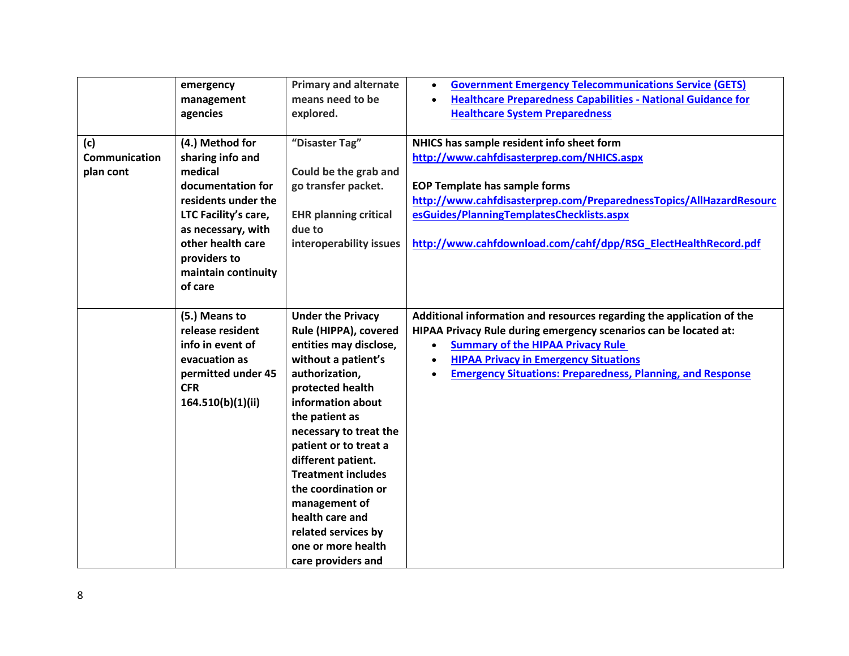|                                   | emergency<br>management<br>agencies                                                                                                                                                                             | <b>Primary and alternate</b><br>means need to be<br>explored.                                                                                                                                                                                                                                                                                                                                                       | <b>Government Emergency Telecommunications Service (GETS)</b><br>$\bullet$<br><b>Healthcare Preparedness Capabilities - National Guidance for</b><br>$\bullet$<br><b>Healthcare System Preparedness</b>                                                                                                                              |
|-----------------------------------|-----------------------------------------------------------------------------------------------------------------------------------------------------------------------------------------------------------------|---------------------------------------------------------------------------------------------------------------------------------------------------------------------------------------------------------------------------------------------------------------------------------------------------------------------------------------------------------------------------------------------------------------------|--------------------------------------------------------------------------------------------------------------------------------------------------------------------------------------------------------------------------------------------------------------------------------------------------------------------------------------|
| (c)<br>Communication<br>plan cont | (4.) Method for<br>sharing info and<br>medical<br>documentation for<br>residents under the<br>LTC Facility's care,<br>as necessary, with<br>other health care<br>providers to<br>maintain continuity<br>of care | "Disaster Tag"<br>Could be the grab and<br>go transfer packet.<br><b>EHR planning critical</b><br>due to<br>interoperability issues                                                                                                                                                                                                                                                                                 | NHICS has sample resident info sheet form<br>http://www.cahfdisasterprep.com/NHICS.aspx<br><b>EOP Template has sample forms</b><br>http://www.cahfdisasterprep.com/PreparednessTopics/AllHazardResourc<br>esGuides/PlanningTemplatesChecklists.aspx<br>http://www.cahfdownload.com/cahf/dpp/RSG_ElectHealthRecord.pdf                |
|                                   | (5.) Means to<br>release resident<br>info in event of<br>evacuation as<br>permitted under 45<br><b>CFR</b><br>164.510(b)(1)(ii)                                                                                 | <b>Under the Privacy</b><br>Rule (HIPPA), covered<br>entities may disclose,<br>without a patient's<br>authorization,<br>protected health<br>information about<br>the patient as<br>necessary to treat the<br>patient or to treat a<br>different patient.<br><b>Treatment includes</b><br>the coordination or<br>management of<br>health care and<br>related services by<br>one or more health<br>care providers and | Additional information and resources regarding the application of the<br>HIPAA Privacy Rule during emergency scenarios can be located at:<br><b>Summary of the HIPAA Privacy Rule</b><br>$\bullet$<br><b>HIPAA Privacy in Emergency Situations</b><br>$\bullet$<br><b>Emergency Situations: Preparedness, Planning, and Response</b> |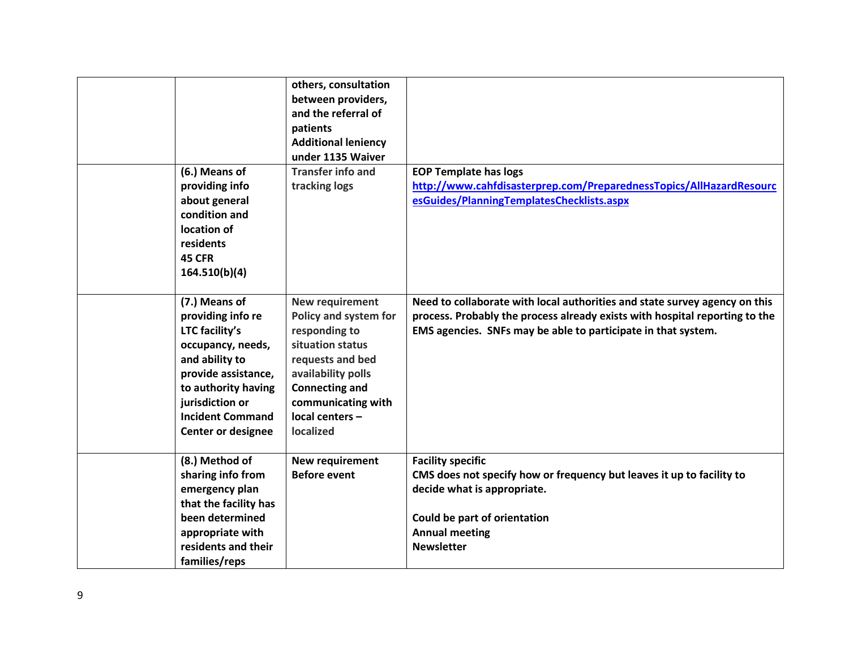|                                                                                                                                                                                                                      | others, consultation<br>between providers,<br>and the referral of<br>patients<br><b>Additional leniency</b><br>under 1135 Waiver                                                                              |                                                                                                                                                                                                                            |
|----------------------------------------------------------------------------------------------------------------------------------------------------------------------------------------------------------------------|---------------------------------------------------------------------------------------------------------------------------------------------------------------------------------------------------------------|----------------------------------------------------------------------------------------------------------------------------------------------------------------------------------------------------------------------------|
| (6.) Means of<br>providing info<br>about general<br>condition and<br>location of<br>residents<br>45 CFR<br>164.510(b)(4)                                                                                             | <b>Transfer info and</b><br>tracking logs                                                                                                                                                                     | <b>EOP Template has logs</b><br>http://www.cahfdisasterprep.com/PreparednessTopics/AllHazardResourc<br>esGuides/PlanningTemplatesChecklists.aspx                                                                           |
| (7.) Means of<br>providing info re<br>LTC facility's<br>occupancy, needs,<br>and ability to<br>provide assistance,<br>to authority having<br>jurisdiction or<br><b>Incident Command</b><br><b>Center or designee</b> | <b>New requirement</b><br>Policy and system for<br>responding to<br>situation status<br>requests and bed<br>availability polls<br><b>Connecting and</b><br>communicating with<br>local centers -<br>localized | Need to collaborate with local authorities and state survey agency on this<br>process. Probably the process already exists with hospital reporting to the<br>EMS agencies. SNFs may be able to participate in that system. |
| (8.) Method of<br>sharing info from<br>emergency plan<br>that the facility has<br>been determined<br>appropriate with<br>residents and their<br>families/reps                                                        | <b>New requirement</b><br><b>Before event</b>                                                                                                                                                                 | <b>Facility specific</b><br>CMS does not specify how or frequency but leaves it up to facility to<br>decide what is appropriate.<br>Could be part of orientation<br><b>Annual meeting</b><br><b>Newsletter</b>             |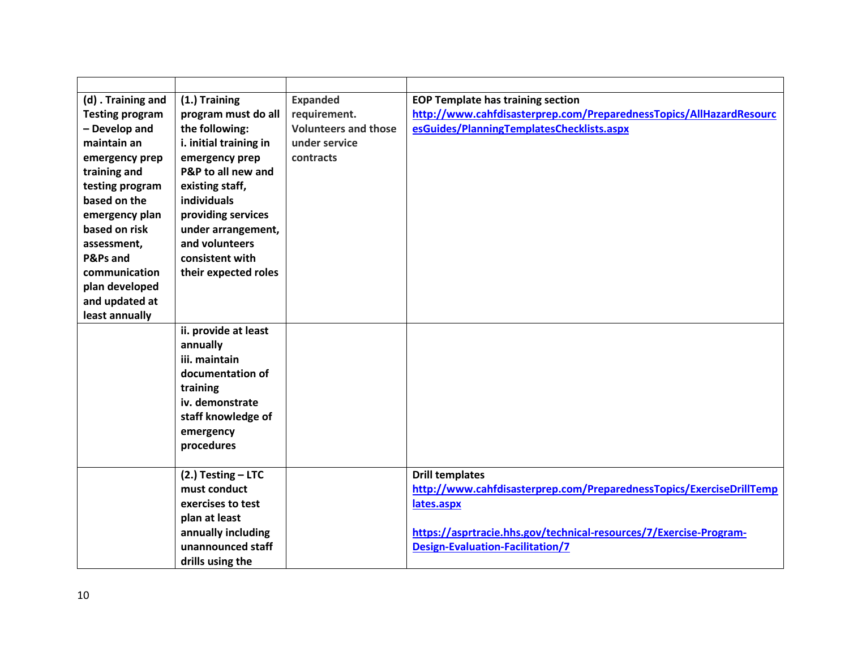| (d) . Training and     | (1.) Training          | <b>Expanded</b>             | <b>EOP Template has training section</b>                             |
|------------------------|------------------------|-----------------------------|----------------------------------------------------------------------|
| <b>Testing program</b> | program must do all    | requirement.                | http://www.cahfdisasterprep.com/PreparednessTopics/AllHazardResourc  |
| - Develop and          | the following:         | <b>Volunteers and those</b> | esGuides/PlanningTemplatesChecklists.aspx                            |
| maintain an            | i. initial training in | under service               |                                                                      |
| emergency prep         | emergency prep         | contracts                   |                                                                      |
| training and           | P&P to all new and     |                             |                                                                      |
| testing program        | existing staff,        |                             |                                                                      |
| based on the           | <b>individuals</b>     |                             |                                                                      |
| emergency plan         | providing services     |                             |                                                                      |
| based on risk          | under arrangement,     |                             |                                                                      |
| assessment,            | and volunteers         |                             |                                                                      |
| P&Ps and               | consistent with        |                             |                                                                      |
| communication          | their expected roles   |                             |                                                                      |
| plan developed         |                        |                             |                                                                      |
| and updated at         |                        |                             |                                                                      |
| least annually         |                        |                             |                                                                      |
|                        | ii. provide at least   |                             |                                                                      |
|                        | annually               |                             |                                                                      |
|                        | iii. maintain          |                             |                                                                      |
|                        | documentation of       |                             |                                                                      |
|                        | training               |                             |                                                                      |
|                        | iv. demonstrate        |                             |                                                                      |
|                        | staff knowledge of     |                             |                                                                      |
|                        | emergency              |                             |                                                                      |
|                        | procedures             |                             |                                                                      |
|                        |                        |                             |                                                                      |
|                        | $(2.)$ Testing - LTC   |                             | <b>Drill templates</b>                                               |
|                        | must conduct           |                             | http://www.cahfdisasterprep.com/PreparednessTopics/ExerciseDrillTemp |
|                        | exercises to test      |                             | lates.aspx                                                           |
|                        | plan at least          |                             |                                                                      |
|                        | annually including     |                             | https://asprtracie.hhs.gov/technical-resources/7/Exercise-Program-   |
|                        | unannounced staff      |                             | <b>Design-Evaluation-Facilitation/7</b>                              |
|                        | drills using the       |                             |                                                                      |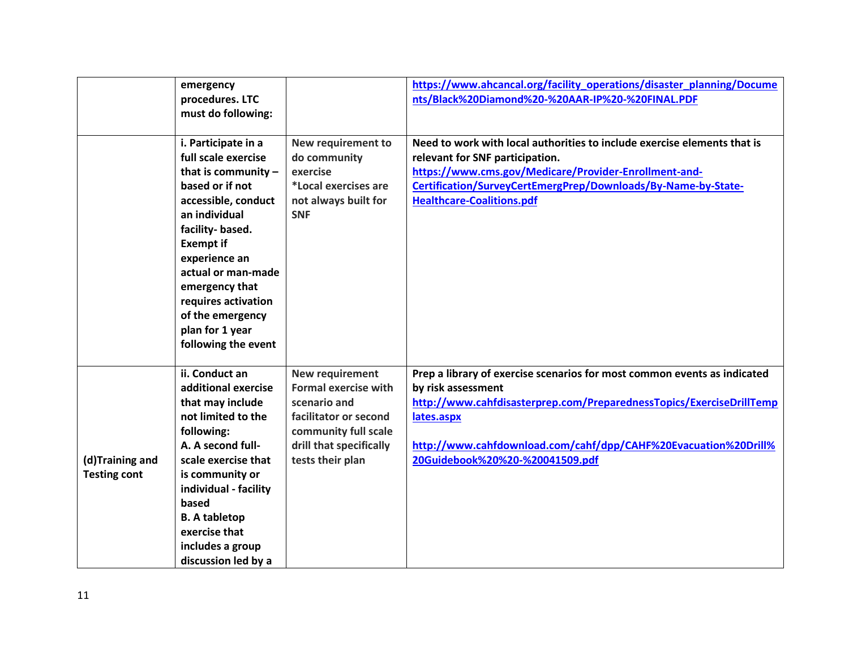|                                        | emergency<br>procedures. LTC<br>must do following:                                                                                                                                                                                                                                                                  |                                                                                                                                                                | https://www.ahcancal.org/facility_operations/disaster_planning/Docume<br>nts/Black%20Diamond%20-%20AAR-IP%20-%20FINAL.PDF                                                                                                                                                                  |
|----------------------------------------|---------------------------------------------------------------------------------------------------------------------------------------------------------------------------------------------------------------------------------------------------------------------------------------------------------------------|----------------------------------------------------------------------------------------------------------------------------------------------------------------|--------------------------------------------------------------------------------------------------------------------------------------------------------------------------------------------------------------------------------------------------------------------------------------------|
|                                        | i. Participate in a<br>full scale exercise<br>that is community $-$<br>based or if not<br>accessible, conduct<br>an individual<br>facility-based.<br><b>Exempt if</b><br>experience an<br>actual or man-made<br>emergency that<br>requires activation<br>of the emergency<br>plan for 1 year<br>following the event | New requirement to<br>do community<br>exercise<br>*Local exercises are<br>not always built for<br><b>SNF</b>                                                   | Need to work with local authorities to include exercise elements that is<br>relevant for SNF participation.<br>https://www.cms.gov/Medicare/Provider-Enrollment-and-<br>Certification/SurveyCertEmergPrep/Downloads/By-Name-by-State-<br><b>Healthcare-Coalitions.pdf</b>                  |
| (d)Training and<br><b>Testing cont</b> | ii. Conduct an<br>additional exercise<br>that may include<br>not limited to the<br>following:<br>A. A second full-<br>scale exercise that<br>is community or<br>individual - facility<br>based<br><b>B.</b> A tabletop<br>exercise that<br>includes a group<br>discussion led by a                                  | New requirement<br><b>Formal exercise with</b><br>scenario and<br>facilitator or second<br>community full scale<br>drill that specifically<br>tests their plan | Prep a library of exercise scenarios for most common events as indicated<br>by risk assessment<br>http://www.cahfdisasterprep.com/PreparednessTopics/ExerciseDrillTemp<br>lates.aspx<br>http://www.cahfdownload.com/cahf/dpp/CAHF%20Evacuation%20Drill%<br>20Guidebook%20%20-%20041509.pdf |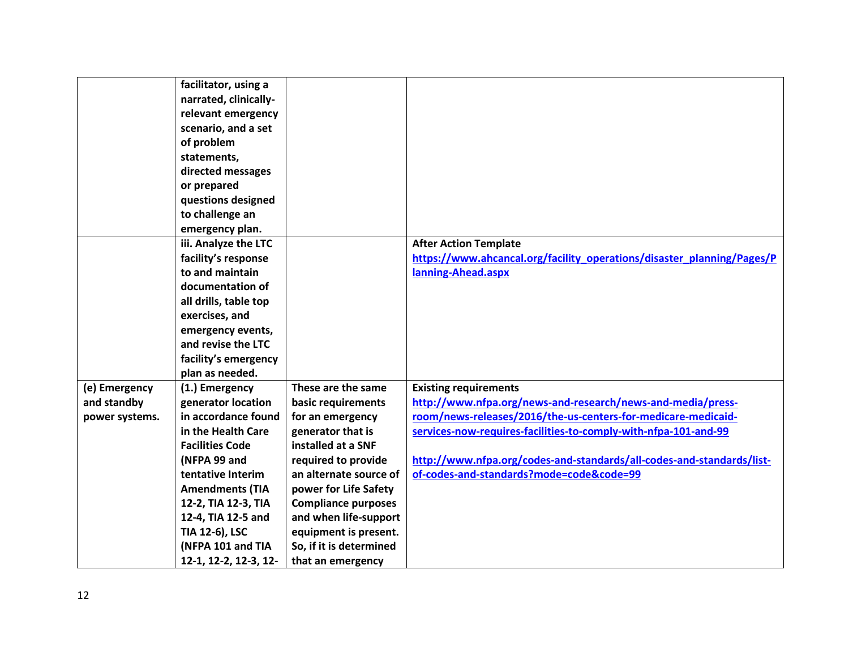|                | facilitator, using a   |                            |                                                                        |
|----------------|------------------------|----------------------------|------------------------------------------------------------------------|
|                | narrated, clinically-  |                            |                                                                        |
|                | relevant emergency     |                            |                                                                        |
|                | scenario, and a set    |                            |                                                                        |
|                | of problem             |                            |                                                                        |
|                | statements,            |                            |                                                                        |
|                | directed messages      |                            |                                                                        |
|                | or prepared            |                            |                                                                        |
|                | questions designed     |                            |                                                                        |
|                | to challenge an        |                            |                                                                        |
|                | emergency plan.        |                            |                                                                        |
|                | iii. Analyze the LTC   |                            | <b>After Action Template</b>                                           |
|                | facility's response    |                            | https://www.ahcancal.org/facility_operations/disaster_planning/Pages/P |
|                | to and maintain        |                            | lanning-Ahead.aspx                                                     |
|                | documentation of       |                            |                                                                        |
|                | all drills, table top  |                            |                                                                        |
|                | exercises, and         |                            |                                                                        |
|                | emergency events,      |                            |                                                                        |
|                | and revise the LTC     |                            |                                                                        |
|                | facility's emergency   |                            |                                                                        |
|                | plan as needed.        |                            |                                                                        |
| (e) Emergency  | (1.) Emergency         | These are the same         | <b>Existing requirements</b>                                           |
| and standby    | generator location     | basic requirements         | http://www.nfpa.org/news-and-research/news-and-media/press-            |
| power systems. | in accordance found    | for an emergency           | room/news-releases/2016/the-us-centers-for-medicare-medicaid-          |
|                | in the Health Care     | generator that is          | services-now-requires-facilities-to-comply-with-nfpa-101-and-99        |
|                | <b>Facilities Code</b> | installed at a SNF         |                                                                        |
|                | (NFPA 99 and           | required to provide        | http://www.nfpa.org/codes-and-standards/all-codes-and-standards/list-  |
|                | tentative Interim      | an alternate source of     | of-codes-and-standards?mode=code&code=99                               |
|                | <b>Amendments (TIA</b> | power for Life Safety      |                                                                        |
|                | 12-2, TIA 12-3, TIA    | <b>Compliance purposes</b> |                                                                        |
|                | 12-4, TIA 12-5 and     | and when life-support      |                                                                        |
|                | TIA 12-6), LSC         | equipment is present.      |                                                                        |
|                | (NFPA 101 and TIA      | So, if it is determined    |                                                                        |
|                | 12-1, 12-2, 12-3, 12-  | that an emergency          |                                                                        |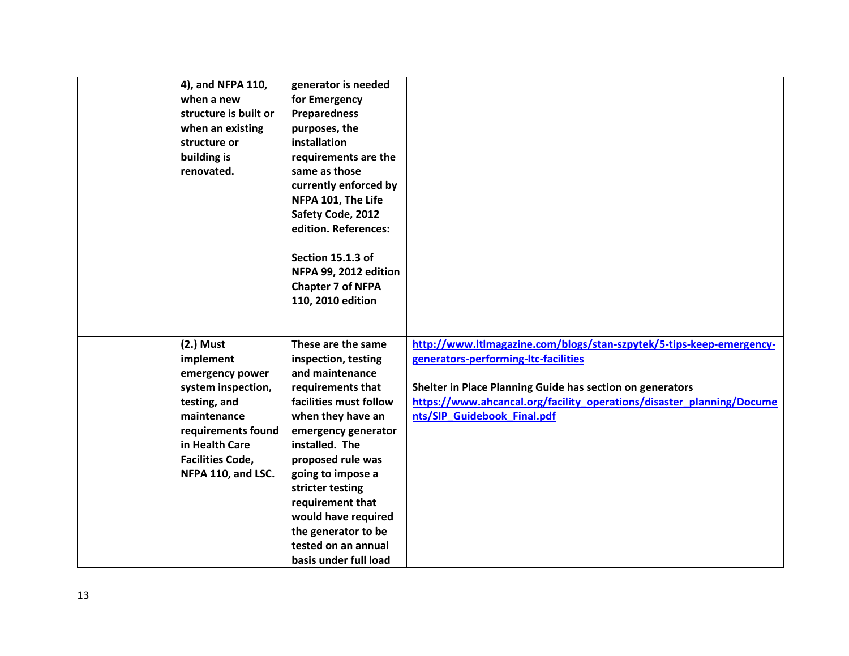| 4), and NFPA 110,<br>when a new<br>structure is built or<br>when an existing<br>structure or<br>building is<br>renovated.                                                                 | generator is needed<br>for Emergency<br><b>Preparedness</b><br>purposes, the<br>installation<br>requirements are the<br>same as those<br>currently enforced by<br>NFPA 101, The Life<br>Safety Code, 2012<br>edition. References:<br>Section 15.1.3 of<br>NFPA 99, 2012 edition<br><b>Chapter 7 of NFPA</b><br>110, 2010 edition                          |                                                                                                                                                                                                                                                                                   |
|-------------------------------------------------------------------------------------------------------------------------------------------------------------------------------------------|-----------------------------------------------------------------------------------------------------------------------------------------------------------------------------------------------------------------------------------------------------------------------------------------------------------------------------------------------------------|-----------------------------------------------------------------------------------------------------------------------------------------------------------------------------------------------------------------------------------------------------------------------------------|
| $(2.)$ Must<br>implement<br>emergency power<br>system inspection,<br>testing, and<br>maintenance<br>requirements found<br>in Health Care<br><b>Facilities Code,</b><br>NFPA 110, and LSC. | These are the same<br>inspection, testing<br>and maintenance<br>requirements that<br>facilities must follow<br>when they have an<br>emergency generator<br>installed. The<br>proposed rule was<br>going to impose a<br>stricter testing<br>requirement that<br>would have required<br>the generator to be<br>tested on an annual<br>basis under full load | http://www.ltlmagazine.com/blogs/stan-szpytek/5-tips-keep-emergency-<br>generators-performing-ltc-facilities<br>Shelter in Place Planning Guide has section on generators<br>https://www.ahcancal.org/facility_operations/disaster_planning/Docume<br>nts/SIP Guidebook Final.pdf |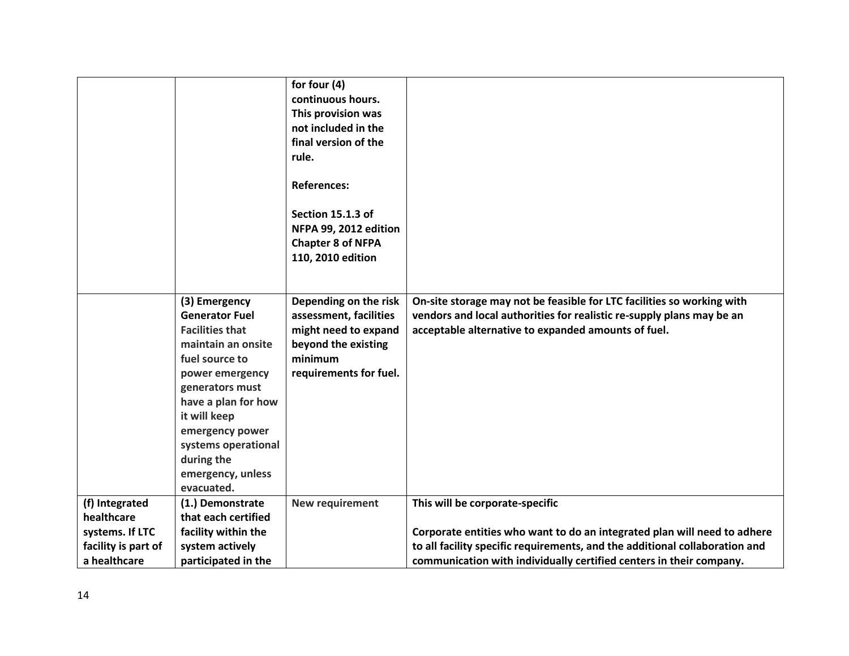|                     |                        | for four (4)             |                                                                             |
|---------------------|------------------------|--------------------------|-----------------------------------------------------------------------------|
|                     |                        | continuous hours.        |                                                                             |
|                     |                        | This provision was       |                                                                             |
|                     |                        | not included in the      |                                                                             |
|                     |                        | final version of the     |                                                                             |
|                     |                        | rule.                    |                                                                             |
|                     |                        |                          |                                                                             |
|                     |                        | <b>References:</b>       |                                                                             |
|                     |                        |                          |                                                                             |
|                     |                        | Section 15.1.3 of        |                                                                             |
|                     |                        | NFPA 99, 2012 edition    |                                                                             |
|                     |                        | <b>Chapter 8 of NFPA</b> |                                                                             |
|                     |                        | 110, 2010 edition        |                                                                             |
|                     |                        |                          |                                                                             |
|                     |                        |                          |                                                                             |
|                     | (3) Emergency          | Depending on the risk    | On-site storage may not be feasible for LTC facilities so working with      |
|                     | <b>Generator Fuel</b>  | assessment, facilities   | vendors and local authorities for realistic re-supply plans may be an       |
|                     | <b>Facilities that</b> | might need to expand     | acceptable alternative to expanded amounts of fuel.                         |
|                     | maintain an onsite     | beyond the existing      |                                                                             |
|                     | fuel source to         | minimum                  |                                                                             |
|                     | power emergency        | requirements for fuel.   |                                                                             |
|                     | generators must        |                          |                                                                             |
|                     | have a plan for how    |                          |                                                                             |
|                     | it will keep           |                          |                                                                             |
|                     | emergency power        |                          |                                                                             |
|                     | systems operational    |                          |                                                                             |
|                     | during the             |                          |                                                                             |
|                     | emergency, unless      |                          |                                                                             |
|                     | evacuated.             |                          |                                                                             |
| (f) Integrated      | (1.) Demonstrate       | New requirement          | This will be corporate-specific                                             |
| healthcare          | that each certified    |                          |                                                                             |
| systems. If LTC     | facility within the    |                          | Corporate entities who want to do an integrated plan will need to adhere    |
| facility is part of | system actively        |                          | to all facility specific requirements, and the additional collaboration and |
| a healthcare        | participated in the    |                          | communication with individually certified centers in their company.         |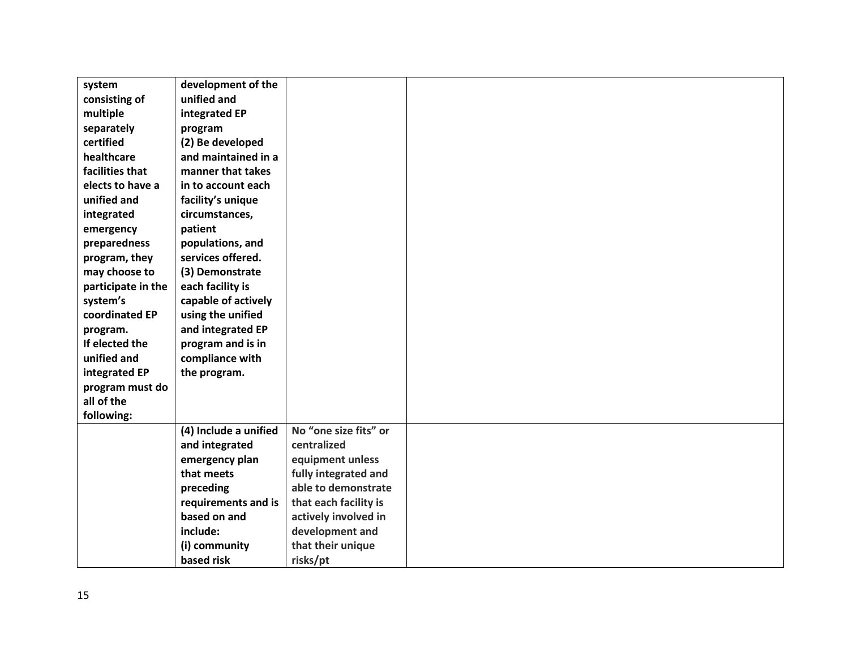| system             | development of the    |                       |  |
|--------------------|-----------------------|-----------------------|--|
| consisting of      | unified and           |                       |  |
| multiple           | integrated EP         |                       |  |
| separately         | program               |                       |  |
| certified          | (2) Be developed      |                       |  |
| healthcare         | and maintained in a   |                       |  |
| facilities that    | manner that takes     |                       |  |
| elects to have a   | in to account each    |                       |  |
| unified and        | facility's unique     |                       |  |
| integrated         | circumstances,        |                       |  |
| emergency          | patient               |                       |  |
| preparedness       | populations, and      |                       |  |
| program, they      | services offered.     |                       |  |
| may choose to      | (3) Demonstrate       |                       |  |
| participate in the | each facility is      |                       |  |
| system's           | capable of actively   |                       |  |
| coordinated EP     | using the unified     |                       |  |
| program.           | and integrated EP     |                       |  |
| If elected the     | program and is in     |                       |  |
| unified and        | compliance with       |                       |  |
| integrated EP      | the program.          |                       |  |
| program must do    |                       |                       |  |
| all of the         |                       |                       |  |
| following:         |                       |                       |  |
|                    | (4) Include a unified | No "one size fits" or |  |
|                    | and integrated        | centralized           |  |
|                    | emergency plan        | equipment unless      |  |
|                    | that meets            | fully integrated and  |  |
|                    | preceding             | able to demonstrate   |  |
|                    | requirements and is   | that each facility is |  |
|                    | based on and          | actively involved in  |  |
|                    | include:              | development and       |  |
|                    | (i) community         | that their unique     |  |
|                    | based risk            | risks/pt              |  |